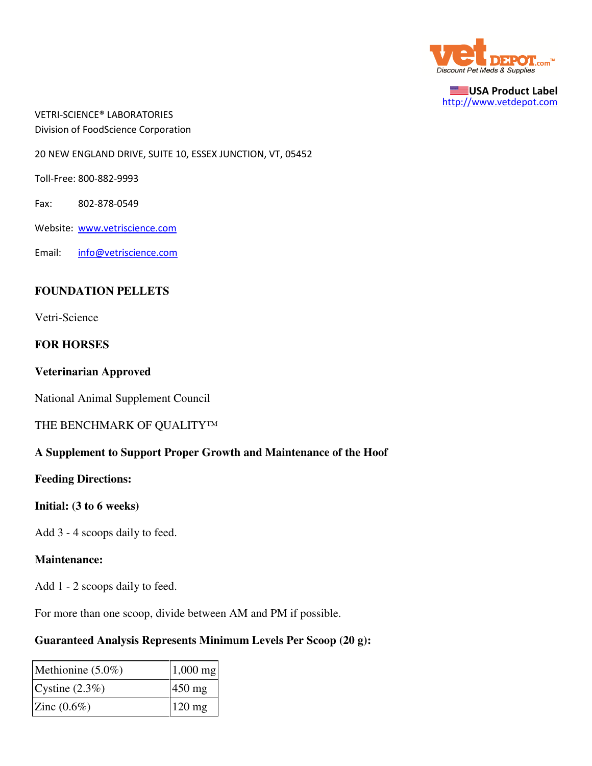

USA Product Label http://www.vetdepot.com

VETRI-SCIENCE® LABORATORIES Division of FoodScience Corporation

20 NEW ENGLAND DRIVE, SUITE 10, ESSEX JUNCTION, VT, 05452

Toll-Free: 800-882-9993

Fax: 802-878-0549

Website: www.vetriscience.com

Email: info@vetriscience.com

## **FOUNDATION PELLETS**

Vetri-Science

## **FOR HORSES**

#### **Veterinarian Approved**

National Animal Supplement Council

#### THE BENCHMARK OF QUALITY™

## **A Supplement to Support Proper Growth and Maintenance of the Hoof**

**Feeding Directions:**

#### **Initial: (3 to 6 weeks)**

Add 3 - 4 scoops daily to feed.

#### **Maintenance:**

Add 1 - 2 scoops daily to feed.

For more than one scoop, divide between AM and PM if possible.

## **Guaranteed Analysis Represents Minimum Levels Per Scoop (20 g):**

| Methionine $(5.0\%)$ | $1,000$ mg       |
|----------------------|------------------|
| Cystine $(2.3\%)$    | $450$ mg         |
| Zinc $(0.6\%)$       | $120 \text{ mg}$ |